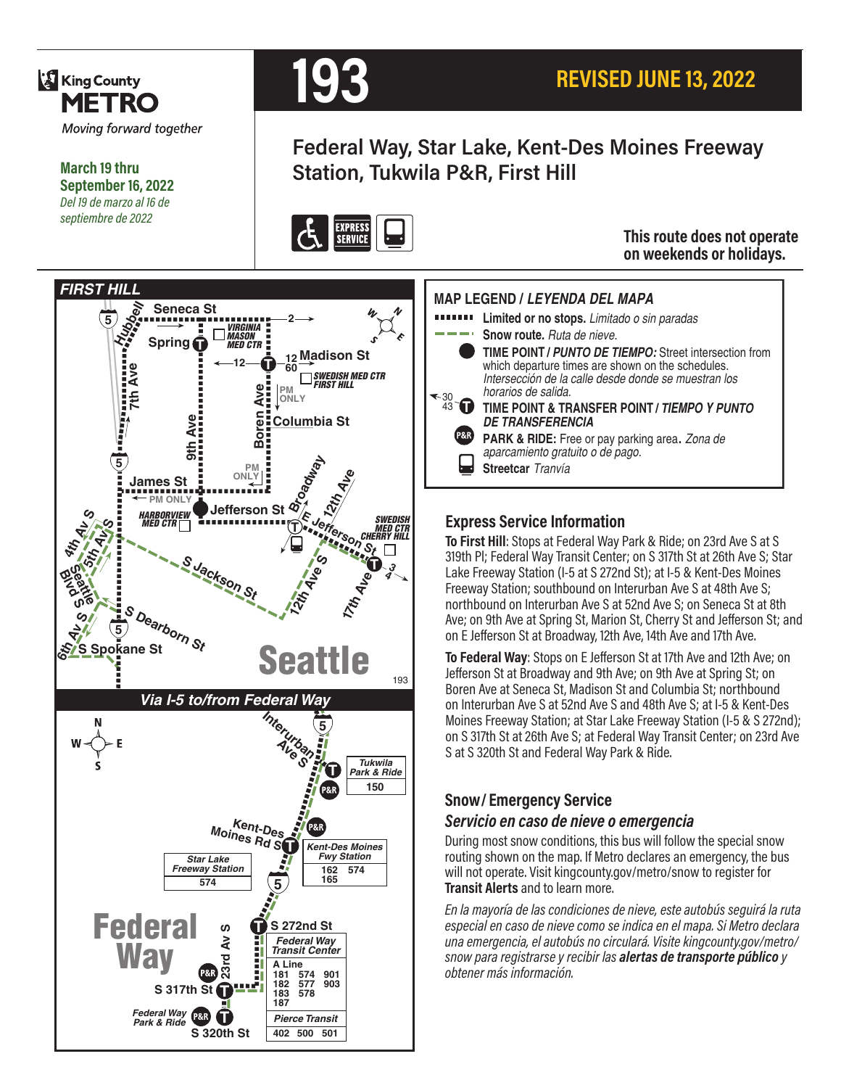

**King County** 



# **REVISED JUNE 13, 2022**

## **Federal Way, Star Lake, Kent-Des Moines Freeway Station, Tukwila P&R, First Hill**



#### **This route does not operate on weekends or holidays.**

#### **MAP LEGEND /** *LEYENDA DEL MAPA*

- **Limited or no stops.** *Limitado o sin paradas*
	- **Snow route.** *Ruta de nieve.*
	- 30 43 **T TIME POINT /** *PUNTO DE TIEMPO:* Street intersection from which departure times are shown on the schedules. *Intersección de la calle desde donde se muestran los horarios de salida.* **TIME POINT & TRANSFER POINT /** *TIEMPO Y PUNTO DE TRANSFERENCIA*
		- **PARK & RIDE:** Free or pay parking area. *Zona de aparcamiento gratuito o de pago.*
		- **Streetcar** *Tranvía*

#### **Express Service Information**

**To First Hill**: Stops at Federal Way Park & Ride; on 23rd Ave S at S 319th Pl; Federal Way Transit Center; on S 317th St at 26th Ave S; Star Lake Freeway Station (I-5 at S 272nd St); at I-5 & Kent-Des Moines Freeway Station; southbound on Interurban Ave S at 48th Ave S; northbound on Interurban Ave S at 52nd Ave S; on Seneca St at 8th Ave; on 9th Ave at Spring St, Marion St, Cherry St and Jefferson St; and on E Jefferson St at Broadway, 12th Ave, 14th Ave and 17th Ave.

**To Federal Way**: Stops on E Jefferson St at 17th Ave and 12th Ave; on Jefferson St at Broadway and 9th Ave; on 9th Ave at Spring St; on Boren Ave at Seneca St, Madison St and Columbia St; northbound on Interurban Ave S at 52nd Ave S and 48th Ave S; at I-5 & Kent-Des Moines Freeway Station; at Star Lake Freeway Station (I-5 & S 272nd); on S 317th St at 26th Ave S; at Federal Way Transit Center; on 23rd Ave S at S 320th St and Federal Way Park & Ride.

## **Snow/ Emergency Service**

#### *Servicio en caso de nieve o emergencia*

During most snow conditions, this bus will follow the special snow routing shown on the map. If Metro declares an emergency, the bus will not operate. Visit kingcounty.gov/metro/snow to register for **Transit Alerts** and to learn more.

*En la mayoría de las condiciones de nieve, este autobús seguirá la ruta especial en caso de nieve como se indica en el mapa. Si Metro declara una emergencia, el autobús no circulará. Visite kingcounty.gov/metro/ snow para registrarse y recibir las alertas de transporte público y obtener más información.*